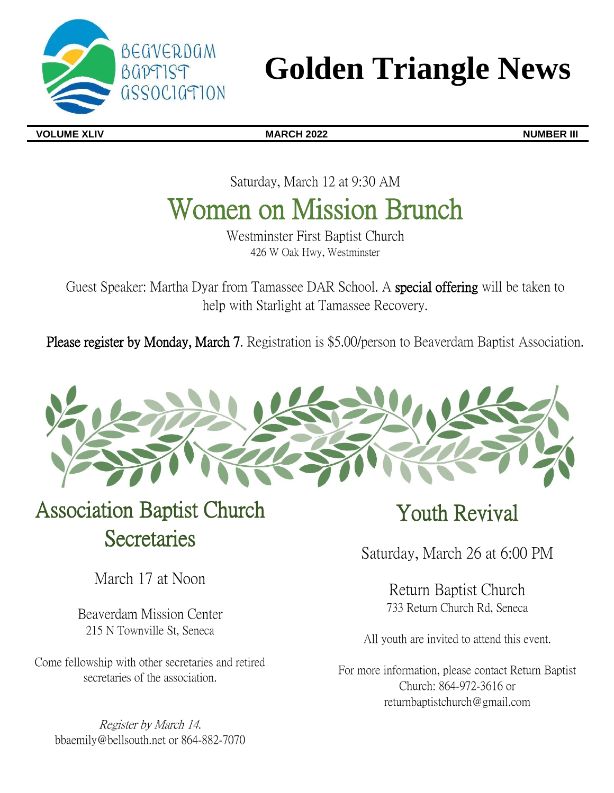

# **Golden Triangle News**

**VOLUME XLIV MARCH 2022 NUMBER III**

Saturday, March 12 at 9:30 AM

## Women on Mission Brunch

Westminster First Baptist Church 426 W Oak Hwy, Westminster

Guest Speaker: Martha Dyar from Tamassee DAR School. A special offering will be taken to help with Starlight at Tamassee Recovery.

Please register by Monday, March 7. Registration is \$5.00/person to Beaverdam Baptist Association.



## Association Baptist Church **Secretaries**

March 17 at Noon

Beaverdam Mission Center 215 N Townville St, Seneca

Come fellowship with other secretaries and retired secretaries of the association.

Register by March 14. bbaemily@bellsouth.net or 864-882-7070

## Youth Revival

Saturday, March 26 at 6:00 PM

Return Baptist Church 733 Return Church Rd, Seneca

All youth are invited to attend this event.

For more information, please contact Return Baptist Church: 864-972-3616 or returnbaptistchurch@gmail.com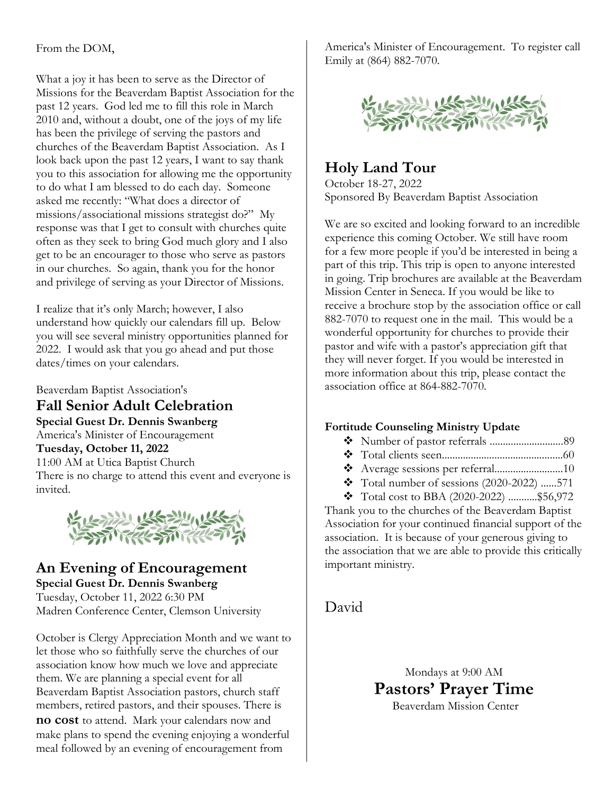#### From the DOM,

What a joy it has been to serve as the Director of Missions for the Beaverdam Baptist Association for the past 12 years. God led me to fill this role in March 2010 and, without a doubt, one of the joys of my life has been the privilege of serving the pastors and churches of the Beaverdam Baptist Association. As I look back upon the past 12 years, I want to say thank you to this association for allowing me the opportunity to do what I am blessed to do each day. Someone asked me recently: "What does a director of missions/associational missions strategist do?" My response was that I get to consult with churches quite often as they seek to bring God much glory and I also get to be an encourager to those who serve as pastors in our churches. So again, thank you for the honor and privilege of serving as your Director of Missions.

I realize that it's only March; however, I also understand how quickly our calendars fill up. Below you will see several ministry opportunities planned for 2022. I would ask that you go ahead and put those dates/times on your calendars.

Beaverdam Baptist Association's

**Fall Senior Adult Celebration Special Guest Dr. Dennis Swanberg** America's Minister of Encouragement **Tuesday, October 11, 2022** 11:00 AM at Utica Baptist Church There is no charge to attend this event and everyone is invited.



### **An Evening of Encouragement Special Guest Dr. Dennis Swanberg** Tuesday, October 11, 2022 6:30 PM Madren Conference Center, Clemson University

October is Clergy Appreciation Month and we want to let those who so faithfully serve the churches of our association know how much we love and appreciate them. We are planning a special event for all Beaverdam Baptist Association pastors, church staff members, retired pastors, and their spouses. There is **no cost** to attend. Mark your calendars now and make plans to spend the evening enjoying a wonderful meal followed by an evening of encouragement from

America's Minister of Encouragement. To register call Emily at (864) 882-7070.



## **Holy Land Tour**

October 18-27, 2022 Sponsored By Beaverdam Baptist Association

We are so excited and looking forward to an incredible experience this coming October. We still have room for a few more people if you'd be interested in being a part of this trip. This trip is open to anyone interested in going. Trip brochures are available at the Beaverdam Mission Center in Seneca. If you would be like to receive a brochure stop by the association office or call 882-7070 to request one in the mail. This would be a wonderful opportunity for churches to provide their pastor and wife with a pastor's appreciation gift that they will never forget. If you would be interested in more information about this trip, please contact the association office at 864-882-7070.

### **Fortitude Counseling Ministry Update**

- ❖ Number of pastor referrals ............................89
- ❖ Total clients seen..............................................60
- ❖ Average sessions per referral..........................10
- $\text{\textbullet}$  Total number of sessions (2020-2022) ......571
- ❖ Total cost to BBA (2020-2022) ...........\$56,972

Thank you to the churches of the Beaverdam Baptist Association for your continued financial support of the association. It is because of your generous giving to the association that we are able to provide this critically important ministry.

David

Mondays at 9:00 AM **Pastors' Prayer Time**  Beaverdam Mission Center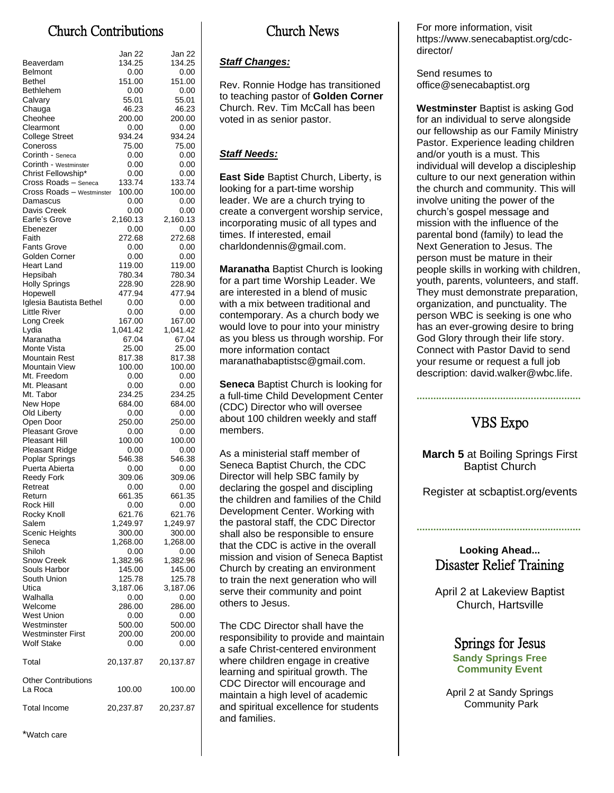## Church Contributions

| Beaverdam                           | Jan 22<br>134.25   | Jan 22<br>134.25   |
|-------------------------------------|--------------------|--------------------|
| Belmont                             | 0.00               | 0.00               |
| Bethel                              | 151.00             | 151.00             |
| Bethlehem                           | 0.00               | 0.00               |
| Calvary                             | 55.01              | 55.01              |
| Chauga                              | 46.23              | 46.23              |
| Cheohee                             | 200.00             | 200.00             |
| Clearmont<br><b>College Street</b>  | 0.00<br>934.24     | 0.00<br>934.24     |
| Coneross                            | 75.00              | 75.00              |
| Corinth - Seneca                    | 0.00               | 0.00               |
| Corinth - Westminster               | 0.00               | 0.00               |
| Christ Fellowship*                  | 0.00               | 0.00               |
| Cross Roads - Seneca                | 133.74             | 133.74             |
| Cross Roads - Westminster           | 100.00             | 100.00             |
| Damascus<br>Davis Creek             | 0.00<br>0.00       | 0.00<br>0.00       |
| Earle's Grove                       | 2,160.13           | 2,160.13           |
| Ebenezer                            | 0.00               | 0.00               |
| Faith                               | 272.68             | 272.68             |
| <b>Fants Grove</b>                  | 0.00               | 0.00               |
| Golden Corner                       | 0.00               | 0.00               |
| <b>Heart Land</b>                   | 119.00<br>780.34   | 119.00<br>780.34   |
| Hepsibah<br><b>Holly Springs</b>    | 228.90             | 228.90             |
| Hopewell                            | 477.94             | 477.94             |
| Iglesia Bautista Bethel             | 0.00               | 0.00               |
| Little River                        | 0.00               | 0.00               |
| Long Creek                          | 167.00             | 167.00             |
| Lydia<br>Maranatha                  | 1.041.42           | 1,041.42           |
| Monte Vista                         | 67.04<br>25.00     | 67.04<br>25.00     |
| Mountain Rest                       | 817.38             | 817.38             |
| <b>Mountain View</b>                | 100.00             | 100.00             |
| Mt. Freedom                         | 0.00               | 0.00               |
| Mt. Pleasant                        | 0.00               | 0.00               |
| Mt. Tabor                           | 234.25             | 234.25             |
| New Hope<br>Old Liberty             | 684.00<br>0.00     | 684.00<br>0.00     |
| Open Door                           | 250.00             | 250.00             |
| <b>Pleasant Grove</b>               | 0.00               | 0.00               |
| Pleasant Hill                       | 100.00             | 100.00             |
| <b>Pleasant Ridge</b>               | 0.00               | 0.00               |
| Poplar Springs                      | 546.38             | 546.38             |
| Puerta Abierta<br><b>Reedy Fork</b> | 0.00<br>309.06     | 0.00<br>309.06     |
| Retreat                             | 0.00               | 0.00               |
| Return                              | 661.35             | 661.35             |
| Rock Hill                           | 0.00               | 0.00               |
| Rocky Knoll                         | 621.76             | 621.76             |
| Salem                               | 1,249.97           | 1,249.97           |
| <b>Scenic Heights</b><br>Seneca     | 300.00<br>1,268.00 | 300.00<br>1,268.00 |
| Shiloh                              | 0.00               | 0.00               |
| Snow Creek                          | 1,382.96           | 1,382.96           |
| Souls Harbor                        | 145.00             | 145.00             |
| South Union                         | 125.78             | 125.78             |
| Utica                               | 3,187.06           | 3,187.06           |
| Walhalla<br>Welcome                 | 0.00<br>286.00     | 0.00<br>286.00     |
| West Union                          | 0.00               | 0.00               |
| Westminster                         | 500.00             | 500.00             |
| Westminster First                   | 200.00             | 200.00             |
| Wolf Stake                          | 0.00               | 0.00               |
| Total                               | 20,137.87          | 20,137.87          |
| <b>Other Contributions</b>          |                    |                    |
| La Roca                             | 100.00             | 100.00             |
| <b>Total Income</b>                 | 20,237.87          | 20,237.87          |
|                                     |                    |                    |

\*Watch care

## Church News

#### *Staff Changes:*

Rev. Ronnie Hodge has transitioned to teaching pastor of **Golden Corner** Church. Rev. Tim McCall has been voted in as senior pastor.

### *Staff Needs:*

**East Side** Baptist Church, Liberty, is looking for a part-time worship leader. We are a church trying to create a convergent worship service, incorporating music of all types and times. If interested, email charldondennis@gmail.com.

**Maranatha** Baptist Church is looking for a part time Worship Leader. We are interested in a blend of music with a mix between traditional and contemporary. As a church body we would love to pour into your ministry as you bless us through worship. For more information contact maranathabaptistsc@gmail.com.

**Seneca** Baptist Church is looking for a full-time Child Development Center (CDC) Director who will oversee about 100 children weekly and staff members.

As a ministerial staff member of Seneca Baptist Church, the CDC Director will help SBC family by declaring the gospel and discipling the children and families of the Child Development Center. Working with the pastoral staff, the CDC Director shall also be responsible to ensure that the CDC is active in the overall mission and vision of Seneca Baptist Church by creating an environment to train the next generation who will serve their community and point others to Jesus.

The CDC Director shall have the responsibility to provide and maintain a safe Christ-centered environment where children engage in creative learning and spiritual growth. The CDC Director will encourage and maintain a high level of academic and spiritual excellence for students and families.

For more information, visit https://www.senecabaptist.org/cdcdirector/

Send resumes to office@senecabaptist.org

**Westminster** Baptist is asking God for an individual to serve alongside our fellowship as our Family Ministry Pastor. Experience leading children and/or youth is a must. This individual will develop a discipleship culture to our next generation within the church and community. This will involve uniting the power of the church's gospel message and mission with the influence of the parental bond (family) to lead the Next Generation to Jesus. The person must be mature in their people skills in working with children, youth, parents, volunteers, and staff. They must demonstrate preparation, organization, and punctuality. The person WBC is seeking is one who has an ever-growing desire to bring God Glory through their life story. Connect with Pastor David to send your resume or request a full job description: david.walker@wbc.life.

## VBS Expo

**...........................................................**

**March 5** at Boiling Springs First Baptist Church

Register at scbaptist.org/events

### **Looking Ahead...** Disaster Relief Training

**...........................................................**

April 2 at Lakeview Baptist Church, Hartsville

#### Springs for Jesus **Sandy Springs Free Community Event**

April 2 at Sandy Springs Community Park